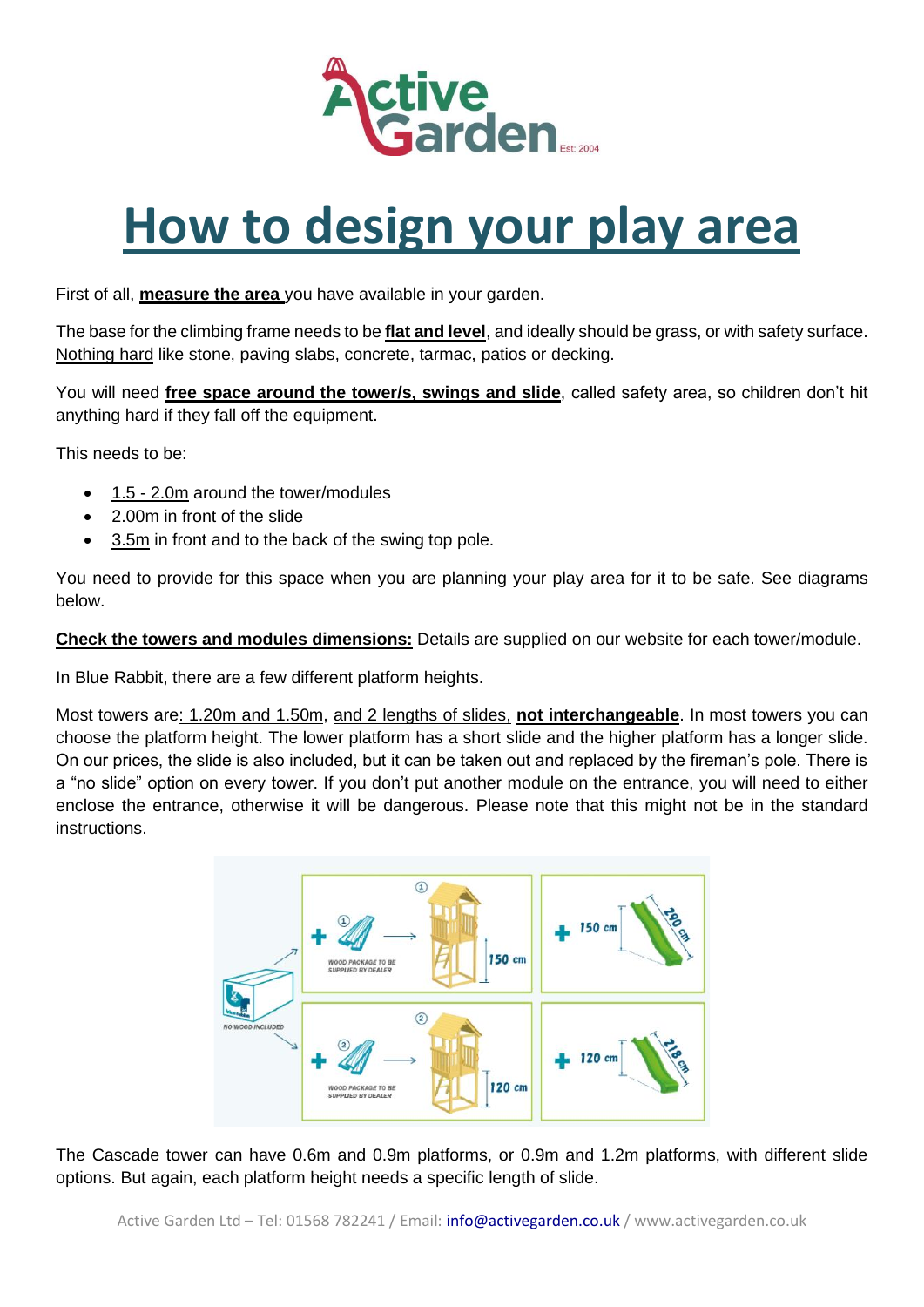

## **How to design your play area**

First of all, **measure the area** you have available in your garden.

The base for the climbing frame needs to be **flat and level**, and ideally should be grass, or with safety surface. Nothing hard like stone, paving slabs, concrete, tarmac, patios or decking.

You will need **free space around the tower/s, swings and slide**, called safety area, so children don't hit anything hard if they fall off the equipment.

This needs to be:

- 1.5 2.0m around the tower/modules
- 2.00m in front of the slide
- 3.5m in front and to the back of the swing top pole.

You need to provide for this space when you are planning your play area for it to be safe. See diagrams below.

**Check the towers and modules dimensions:** Details are supplied on our website for each tower/module.

In Blue Rabbit, there are a few different platform heights.

Most towers are: 1.20m and 1.50m, and 2 lengths of slides, **not interchangeable**. In most towers you can choose the platform height. The lower platform has a short slide and the higher platform has a longer slide. On our prices, the slide is also included, but it can be taken out and replaced by the fireman's pole. There is a "no slide" option on every tower. If you don't put another module on the entrance, you will need to either enclose the entrance, otherwise it will be dangerous. Please note that this might not be in the standard instructions.



The Cascade tower can have 0.6m and 0.9m platforms, or 0.9m and 1.2m platforms, with different slide options. But again, each platform height needs a specific length of slide.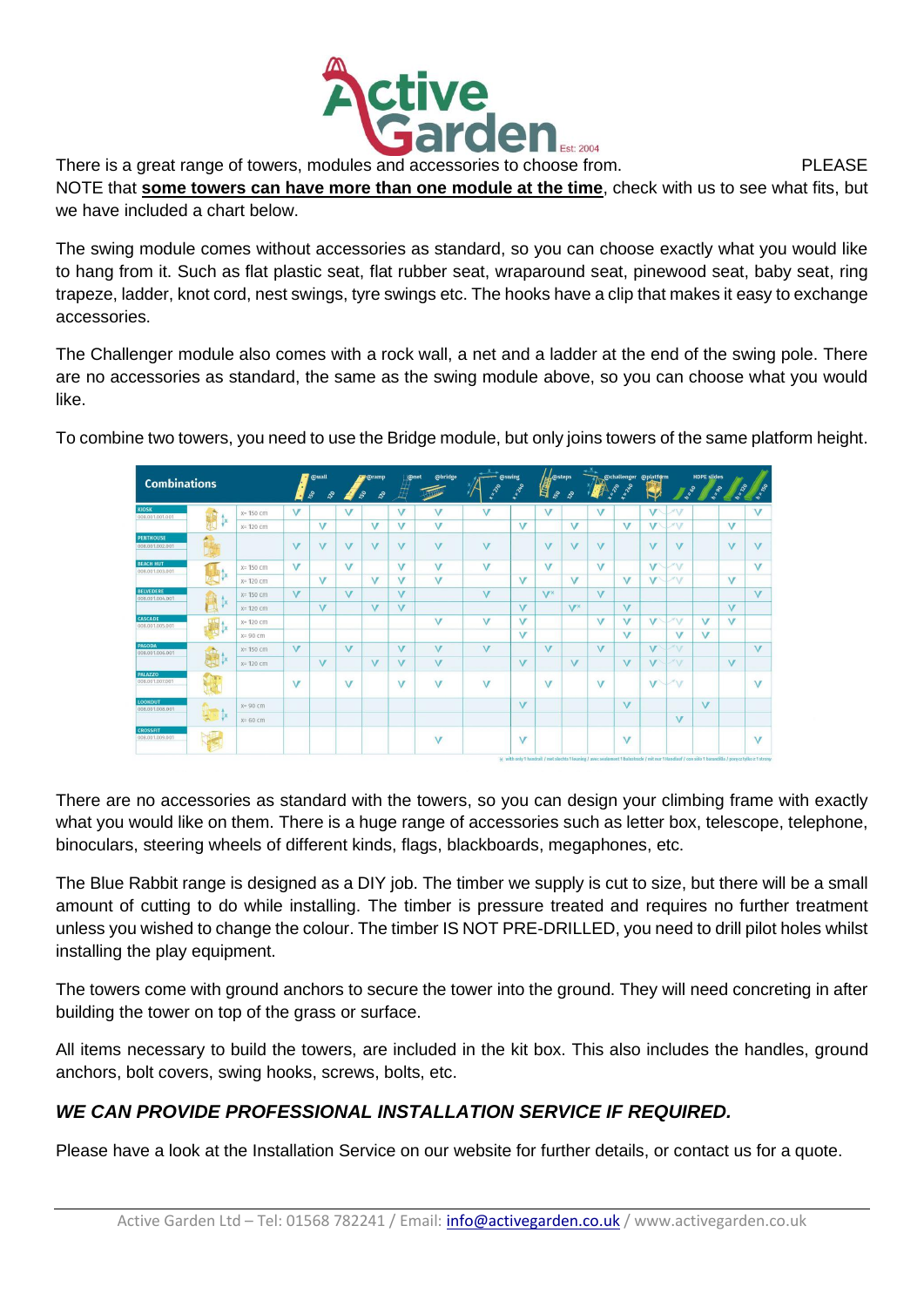

NOTE that **some towers can have more than one module at the time**, check with us to see what fits, but we have included a chart below.

The swing module comes without accessories as standard, so you can choose exactly what you would like to hang from it. Such as flat plastic seat, flat rubber seat, wraparound seat, pinewood seat, baby seat, ring trapeze, ladder, knot cord, nest swings, tyre swings etc. The hooks have a clip that makes it easy to exchange accessories.

The Challenger module also comes with a rock wall, a net and a ladder at the end of the swing pole. There are no accessories as standard, the same as the swing module above, so you can choose what you would like.

To combine two towers, you need to use the Bridge module, but only joins towers of the same platform height.

| <b>Combinations</b>                 |                |              |                | <b>@wall</b><br>$\mathcal{S}$<br>$\mathcal{S}^{\circ}$ |              | <b>Coramp</b><br>$\mathcal{S}$<br>250 | <b>@net</b>    | <b>@bridge</b> | Lazio          | @swing<br>1.220 | L@steps<br>儨<br>$s^{\circ}$ | ಫಿ         | $\mathcal{L}_{\infty}^{\circ}$ | 2260      | @challenger @platform |                                     | <b>HDPE slides</b><br><b>h</b> = 90 | 220            | <b>PA - 30</b> |
|-------------------------------------|----------------|--------------|----------------|--------------------------------------------------------|--------------|---------------------------------------|----------------|----------------|----------------|-----------------|-----------------------------|------------|--------------------------------|-----------|-----------------------|-------------------------------------|-------------------------------------|----------------|----------------|
| <b>KIOSK</b><br>008.001.001.001     | <b>Ix</b>      | $x = 150$ cm | V              |                                                        | $\mathbf{V}$ |                                       | v              | v              | V              |                 | V                           |            | V                              |           | V <sup></sup>         | $\vee$                              |                                     |                | $\vee$         |
|                                     |                | $x = 120$ cm |                | v                                                      |              | v                                     | $\sqrt{}$      | v              |                | $\sqrt{}$       |                             | $\sqrt{}$  |                                | $\sqrt{}$ | V                     | $A \setminus F$                     |                                     | v              |                |
| <b>PENTHOUSE</b><br>008.001.002.001 |                |              | $\overline{V}$ | $\mathbf v$                                            | $\vee$       | $\vee$                                | $\sqrt{ }$     | $\vee$         | $\overline{V}$ |                 | $\vee$                      | $\sqrt{ }$ | $\overline{V}$                 |           | $\mathbf{V}$          | $\sqrt{ }$                          |                                     | $\overline{V}$ | $\sqrt{}$      |
| <b>BEACH HUT</b><br>008.001.003.001 |                | $x = 150$ cm | $\mathbf{V}$   |                                                        | V            |                                       | $\sqrt{}$      | $\vee$         | $\vee$         |                 | $\vee$                      |            | $\overline{V}$                 |           | $\overline{V}$        | $\mathcal{N} \setminus \mathcal{F}$ |                                     |                | $\overline{V}$ |
|                                     |                | x= 120 cm    |                | V                                                      |              | $\sqrt{}$                             | $\sqrt{}$      | v              |                | $\overline{V}$  |                             | $\sqrt{ }$ |                                | $\vee$    | V                     | 710                                 |                                     | $\vee$         |                |
| <b>BELVEDERE</b><br>008.001.004.001 | $\mathbf{X}$   | $x = 150$ cm | $\mathbf v$    |                                                        | $\mathbf{V}$ |                                       | $\overline{V}$ |                | $\overline{V}$ |                 | VX                          |            | $\overline{\mathsf{v}}$        |           |                       |                                     |                                     |                | $\overline{V}$ |
|                                     |                | $x = 120$ cm |                | $\sqrt{}$                                              |              | $\vee$                                | $\sqrt{}$      |                |                | $\sqrt{}$       |                             | <b>VX</b>  |                                | $\vee$    |                       |                                     |                                     | $\vee$         |                |
| CASCADE<br>008.001.005.001          |                | $x = 120$ cm |                |                                                        |              |                                       |                | v              | $\sqrt{}$      | $\overline{V}$  |                             |            | V                              | V         | $\sqrt{}$             | 710                                 | $\vee$                              | $\mathbf{V}$   |                |
|                                     |                | $X = 90$ cm  |                |                                                        |              |                                       |                |                |                | $\overline{V}$  |                             |            |                                | $\sqrt{}$ |                       | $\sqrt{}$                           | $\sqrt{}$                           |                |                |
| PAGODA<br>008.001.006.001           | <b>Bill</b> Ix | $x = 150$ cm | $\mathbf{V}$   |                                                        | $\mathbf{V}$ |                                       | $\sqrt{}$      | V              | $\overline{V}$ |                 | $\overline{V}$              |            | V                              |           | $\overline{V}$        | $\sim$                              |                                     |                | $\sqrt{ }$     |
|                                     |                | $x = 120$ cm |                | $\sqrt{}$                                              |              | v                                     | V              | V              |                | $\sqrt{}$       |                             | $\sqrt{}$  |                                | V         | $\sqrt{ }$            | $\mathcal{N}$                       |                                     | v              |                |
| <b>PALAZZO</b><br>008.001.007.001   |                |              | $\mathbf{V}$   |                                                        | $\sqrt{}$    |                                       | V              | v              | $\vee$         |                 | V                           |            | $\vee$                         |           | $\overline{V}$        | $\mathcal{A}\setminus\mathcal{F}$   |                                     |                | $\sqrt{}$      |
| <b>LOOKOUT</b><br>008.001.008.001   | <b>IX</b><br>实 | $X = 90$ cm  |                |                                                        |              |                                       |                |                |                | $\overline{V}$  |                             |            |                                | $\sqrt{}$ |                       |                                     | $\sqrt{}$                           |                |                |
|                                     |                | $x=60$ cm    |                |                                                        |              |                                       |                |                |                |                 |                             |            |                                |           |                       | $\overline{V}$                      |                                     |                |                |
| <b>CROSSFIT</b><br>008.001.009.001  |                |              |                |                                                        |              |                                       |                | $\mathbf{v}$   |                | $\overline{V}$  |                             |            |                                | V         |                       |                                     |                                     |                | $\sqrt{}$      |

There are no accessories as standard with the towers, so you can design your climbing frame with exactly what you would like on them. There is a huge range of accessories such as letter box, telescope, telephone, binoculars, steering wheels of different kinds, flags, blackboards, megaphones, etc.

The Blue Rabbit range is designed as a DIY job. The timber we supply is cut to size, but there will be a small amount of cutting to do while installing. The timber is pressure treated and requires no further treatment unless you wished to change the colour. The timber IS NOT PRE-DRILLED, you need to drill pilot holes whilst installing the play equipment.

The towers come with ground anchors to secure the tower into the ground. They will need concreting in after building the tower on top of the grass or surface.

All items necessary to build the towers, are included in the kit box. This also includes the handles, ground anchors, bolt covers, swing hooks, screws, bolts, etc.

## *WE CAN PROVIDE PROFESSIONAL INSTALLATION SERVICE IF REQUIRED.*

Please have a look at the Installation Service on our website for further details, or contact us for a quote.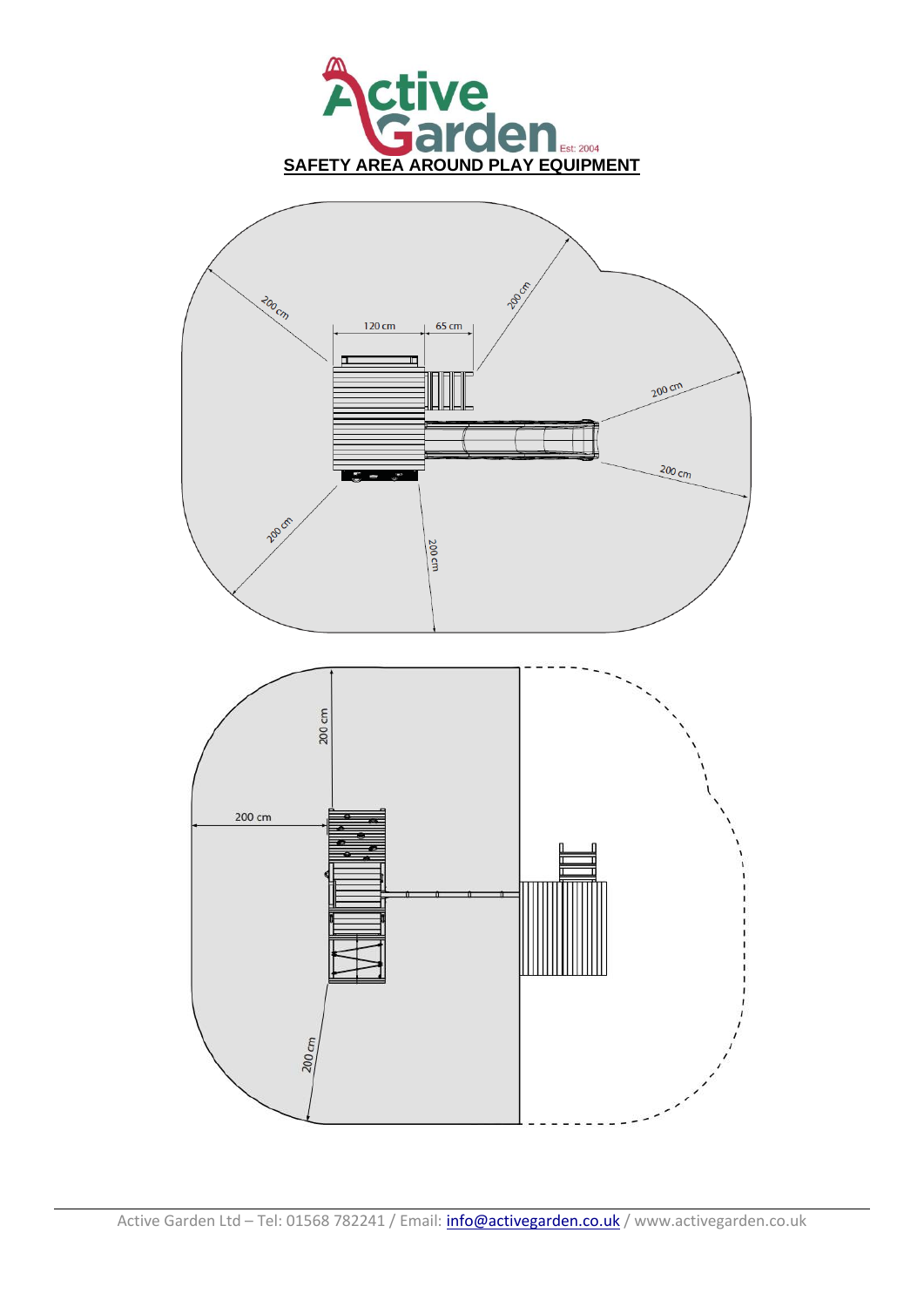

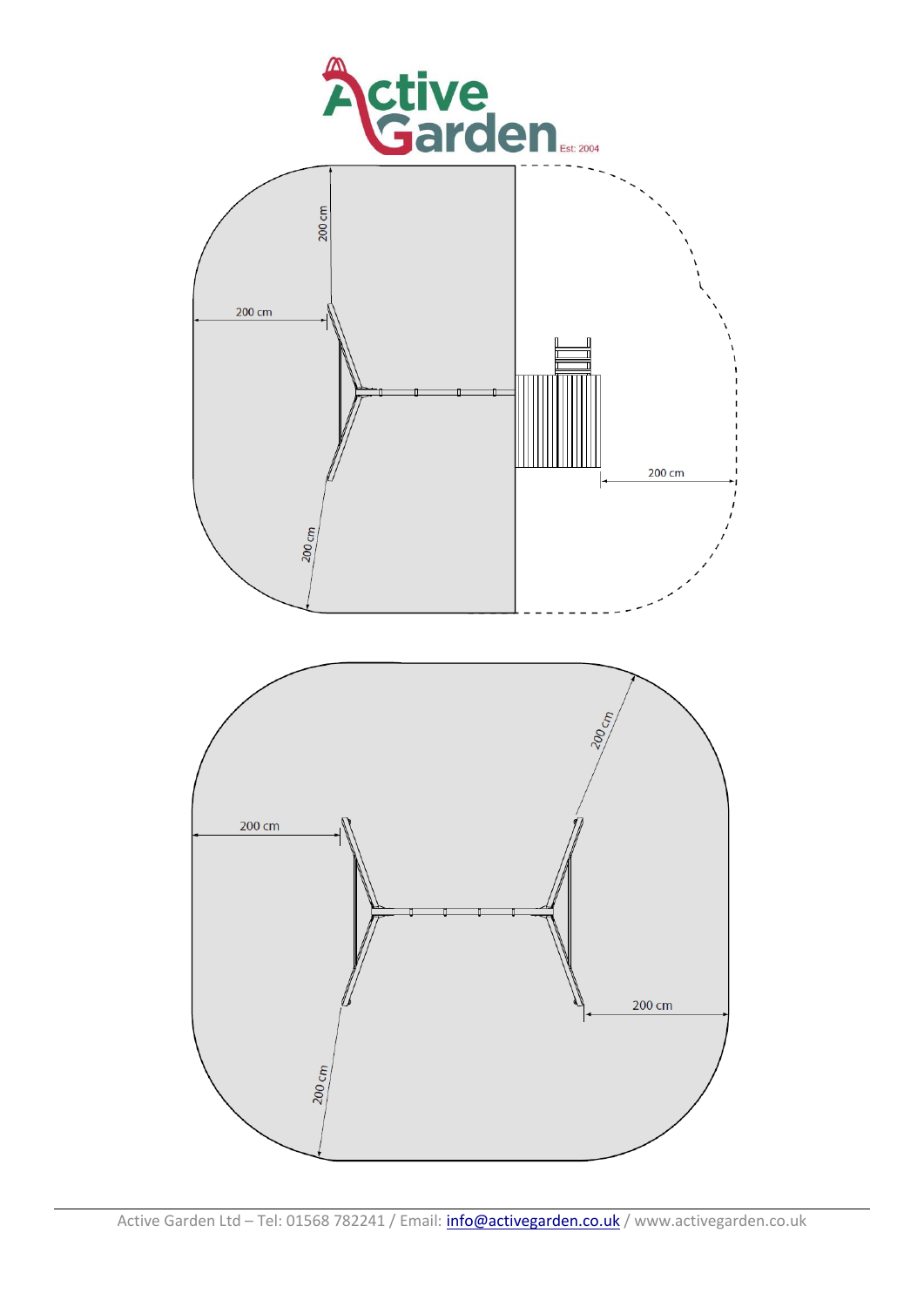